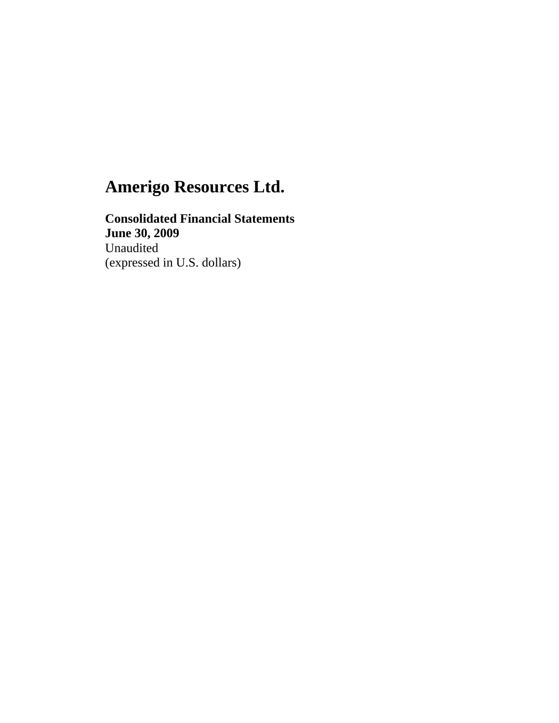**Consolidated Financial Statements June 30, 2009**  Unaudited (expressed in U.S. dollars)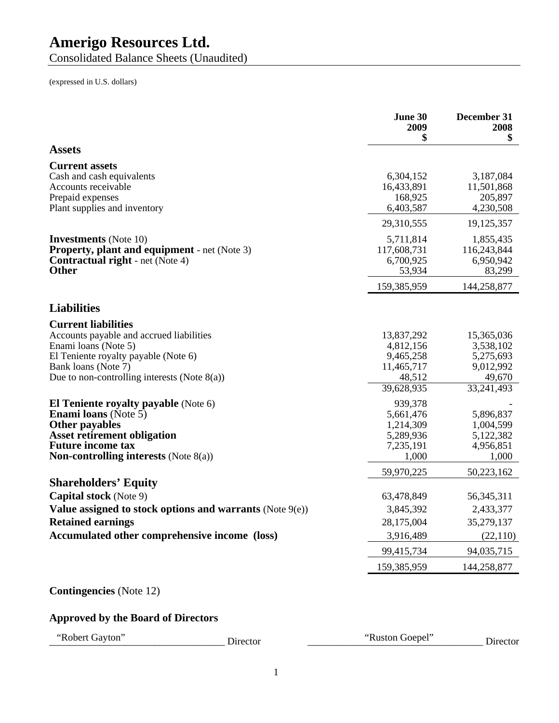Consolidated Balance Sheets (Unaudited)

(expressed in U.S. dollars)

|                                                                                                                                                                                                            | June 30<br>2009<br>\$                                                      | December 31<br>2008<br>\$                                                 |
|------------------------------------------------------------------------------------------------------------------------------------------------------------------------------------------------------------|----------------------------------------------------------------------------|---------------------------------------------------------------------------|
| <b>Assets</b>                                                                                                                                                                                              |                                                                            |                                                                           |
| <b>Current assets</b>                                                                                                                                                                                      |                                                                            |                                                                           |
| Cash and cash equivalents<br>Accounts receivable<br>Prepaid expenses<br>Plant supplies and inventory                                                                                                       | 6,304,152<br>16,433,891<br>168,925<br>6,403,587                            | 3,187,084<br>11,501,868<br>205,897<br>4,230,508                           |
|                                                                                                                                                                                                            | 29,310,555                                                                 | 19,125,357                                                                |
| <b>Investments</b> (Note 10)<br><b>Property, plant and equipment</b> - net (Note 3)<br><b>Contractual right</b> - net (Note 4)<br><b>Other</b>                                                             | 5,711,814<br>117,608,731<br>6,700,925<br>53,934                            | 1,855,435<br>116,243,844<br>6,950,942<br>83,299                           |
|                                                                                                                                                                                                            | 159,385,959                                                                | 144,258,877                                                               |
| <b>Liabilities</b>                                                                                                                                                                                         |                                                                            |                                                                           |
| <b>Current liabilities</b>                                                                                                                                                                                 |                                                                            |                                                                           |
| Accounts payable and accrued liabilities<br>Enami loans (Note 5)<br>El Teniente royalty payable (Note 6)<br>Bank loans (Note 7)<br>Due to non-controlling interests (Note $8(a)$ )                         | 13,837,292<br>4,812,156<br>9,465,258<br>11,465,717<br>48,512<br>39,628,935 | 15,365,036<br>3,538,102<br>5,275,693<br>9,012,992<br>49,670<br>33,241,493 |
| El Teniente royalty payable (Note 6)<br><b>Enami loans</b> (Note $5$ )<br>Other payables<br><b>Asset retirement obligation</b><br><b>Future income tax</b><br><b>Non-controlling interests (Note 8(a))</b> | 939,378<br>5,661,476<br>1,214,309<br>5,289,936<br>7,235,191<br>1,000       | 5,896,837<br>1,004,599<br>5,122,382<br>4,956,851<br>1,000                 |
|                                                                                                                                                                                                            | 59,970,225                                                                 | 50,223,162                                                                |
| <b>Shareholders' Equity</b>                                                                                                                                                                                |                                                                            |                                                                           |
| <b>Capital stock</b> (Note 9)                                                                                                                                                                              | 63,478,849                                                                 | 56, 345, 311                                                              |
| Value assigned to stock options and warrants (Note 9(e))                                                                                                                                                   | 3,845,392                                                                  | 2,433,377                                                                 |
| <b>Retained earnings</b>                                                                                                                                                                                   | 28,175,004                                                                 | 35,279,137                                                                |
| Accumulated other comprehensive income (loss)                                                                                                                                                              | 3,916,489                                                                  | (22, 110)                                                                 |
|                                                                                                                                                                                                            | 99,415,734<br>159,385,959                                                  | 94,035,715<br>144,258,877                                                 |

## **Contingencies** (Note 12)

# **Approved by the Board of Directors**

"Ruston Goepel" Director "Ruston Goepel" Director "Ruston Goepel" Director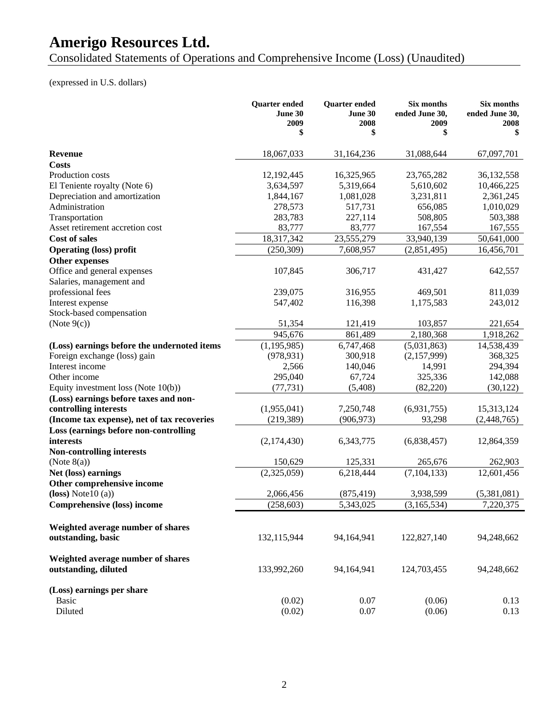Consolidated Statements of Operations and Comprehensive Income (Loss) (Unaudited)

# (expressed in U.S. dollars)

|                                             | <b>Quarter</b> ended<br><b>June 30</b><br>2009 | <b>Quarter ended</b><br>June 30<br>2008 | Six months<br>ended June 30,<br>2009 | Six months<br>ended June 30,<br>2008 |
|---------------------------------------------|------------------------------------------------|-----------------------------------------|--------------------------------------|--------------------------------------|
|                                             | \$                                             | \$                                      | \$                                   | \$                                   |
| Revenue                                     | 18,067,033                                     | 31,164,236                              | 31,088,644                           | 67,097,701                           |
| <b>Costs</b>                                |                                                |                                         |                                      |                                      |
| Production costs                            | 12,192,445                                     | 16,325,965                              | 23,765,282                           | 36,132,558                           |
| El Teniente royalty (Note 6)                | 3,634,597                                      | 5,319,664                               | 5,610,602                            | 10,466,225                           |
| Depreciation and amortization               | 1,844,167                                      | 1,081,028                               | 3,231,811                            | 2,361,245                            |
| Administration                              | 278,573                                        | 517,731                                 | 656,085                              | 1,010,029                            |
| Transportation                              | 283,783                                        | 227,114                                 | 508,805                              | 503,388                              |
| Asset retirement accretion cost             | 83,777                                         | 83,777                                  | 167,554                              | 167,555                              |
| <b>Cost of sales</b>                        | 18,317,342                                     | 23,555,279                              | 33,940,139                           | 50,641,000                           |
| <b>Operating (loss) profit</b>              | (250, 309)                                     | 7,608,957                               | (2,851,495)                          | 16,456,701                           |
| <b>Other expenses</b>                       |                                                |                                         |                                      |                                      |
| Office and general expenses                 | 107,845                                        | 306,717                                 | 431,427                              | 642,557                              |
| Salaries, management and                    |                                                |                                         |                                      |                                      |
| professional fees                           | 239,075                                        | 316,955                                 | 469,501                              | 811,039                              |
| Interest expense                            | 547,402                                        | 116,398                                 | 1,175,583                            | 243,012                              |
| Stock-based compensation                    |                                                |                                         |                                      |                                      |
| (Note $9(c)$ )                              | 51,354                                         | 121,419                                 | 103,857                              | 221,654                              |
|                                             | 945,676                                        | 861,489                                 | 2,180,368                            | 1,918,262                            |
| (Loss) earnings before the undernoted items | (1, 195, 985)                                  | 6,747,468                               | (5,031,863)                          | 14,538,439                           |
| Foreign exchange (loss) gain                | (978, 931)                                     | 300,918                                 | (2,157,999)                          | 368,325                              |
| Interest income                             | 2,566                                          | 140,046                                 | 14,991                               | 294,394                              |
| Other income                                | 295,040                                        | 67,724                                  | 325,336                              | 142,088                              |
|                                             | (77, 731)                                      | (5, 408)                                | (82, 220)                            | (30, 122)                            |
| Equity investment loss (Note $10(b)$ )      |                                                |                                         |                                      |                                      |
| (Loss) earnings before taxes and non-       |                                                |                                         |                                      |                                      |
| controlling interests                       | (1,955,041)                                    | 7,250,748                               | (6,931,755)                          | 15,313,124                           |
| (Income tax expense), net of tax recoveries | (219, 389)                                     | (906, 973)                              | 93,298                               | (2,448,765)                          |
| Loss (earnings before non-controlling       |                                                |                                         |                                      |                                      |
| interests                                   | (2,174,430)                                    | 6,343,775                               | (6,838,457)                          | 12,864,359                           |
| <b>Non-controlling interests</b>            |                                                |                                         |                                      |                                      |
| (Note $8(a)$ )                              | 150,629                                        | 125,331                                 | 265,676                              | 262,903                              |
| Net (loss) earnings                         | (2,325,059)                                    | 6,218,444                               | (7, 104, 133)                        | 12,601,456                           |
| Other comprehensive income                  |                                                |                                         |                                      |                                      |
| $(loss) Note 10 (a)$                        | 2,066,456                                      | (875, 419)                              | 3,938,599                            | (5,381,081)                          |
| <b>Comprehensive (loss) income</b>          | (258, 603)                                     | 5,343,025                               | (3, 165, 534)                        | 7,220,375                            |
| Weighted average number of shares           |                                                |                                         |                                      |                                      |
| outstanding, basic                          | 132,115,944                                    | 94,164,941                              | 122,827,140                          | 94,248,662                           |
| Weighted average number of shares           |                                                |                                         |                                      |                                      |
| outstanding, diluted                        | 133,992,260                                    | 94,164,941                              | 124,703,455                          | 94,248,662                           |
| (Loss) earnings per share                   |                                                |                                         |                                      |                                      |
| <b>Basic</b>                                | (0.02)                                         | 0.07                                    | (0.06)                               | 0.13                                 |
| Diluted                                     | (0.02)                                         | 0.07                                    | (0.06)                               | 0.13                                 |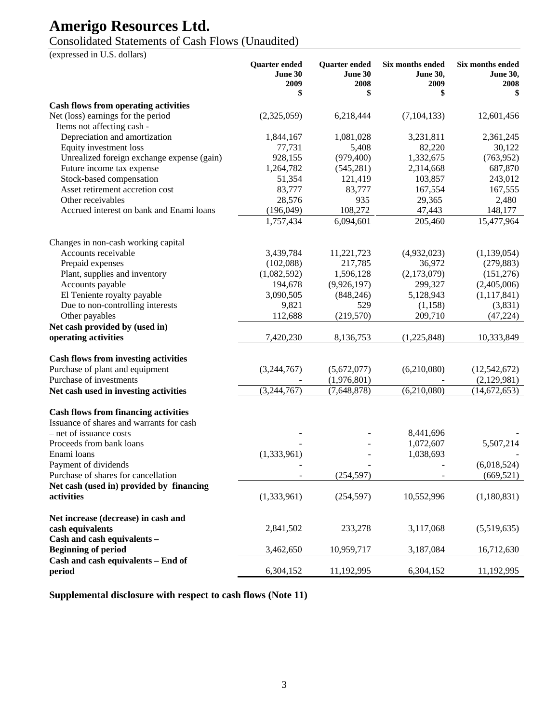# Consolidated Statements of Cash Flows (Unaudited)

(expressed in U.S. dollars)

|                                                                  | Quarter ended<br>June 30<br>2009<br>\$ | Quarter ended<br>June 30<br>2008<br>\$ | Six months ended<br><b>June 30,</b><br>2009<br>\$ | Six months ended<br><b>June 30,</b><br>2008<br>\$ |
|------------------------------------------------------------------|----------------------------------------|----------------------------------------|---------------------------------------------------|---------------------------------------------------|
| <b>Cash flows from operating activities</b>                      |                                        |                                        |                                                   |                                                   |
| Net (loss) earnings for the period<br>Items not affecting cash - | (2,325,059)                            | 6,218,444                              | (7, 104, 133)                                     | 12,601,456                                        |
| Depreciation and amortization                                    | 1,844,167                              | 1,081,028                              | 3,231,811                                         | 2,361,245                                         |
| Equity investment loss                                           | 77,731                                 | 5,408                                  | 82,220                                            | 30,122                                            |
| Unrealized foreign exchange expense (gain)                       | 928,155                                | (979, 400)                             | 1,332,675                                         | (763, 952)                                        |
| Future income tax expense                                        | 1,264,782                              | (545, 281)                             | 2,314,668                                         | 687,870                                           |
| Stock-based compensation                                         | 51,354                                 | 121,419                                | 103,857                                           | 243,012                                           |
| Asset retirement accretion cost                                  | 83,777                                 | 83,777                                 | 167,554                                           | 167,555                                           |
| Other receivables                                                | 28,576                                 | 935                                    | 29,365                                            | 2,480                                             |
| Accrued interest on bank and Enami loans                         | (196,049)                              | 108,272                                | 47,443                                            | 148,177                                           |
|                                                                  | 1,757,434                              | 6,094,601                              | 205,460                                           | 15,477,964                                        |
| Changes in non-cash working capital                              |                                        |                                        |                                                   |                                                   |
| Accounts receivable                                              | 3,439,784                              | 11,221,723                             | (4,932,023)                                       | (1,139,054)                                       |
| Prepaid expenses                                                 | (102,088)                              | 217,785                                | 36,972                                            | (279, 883)                                        |
| Plant, supplies and inventory                                    | (1,082,592)                            | 1,596,128                              | (2,173,079)                                       | (151, 276)                                        |
| Accounts payable                                                 | 194,678                                | (9,926,197)                            | 299,327                                           | (2,405,006)                                       |
| El Teniente royalty payable                                      | 3,090,505                              | (848, 246)                             | 5,128,943                                         | (1,117,841)                                       |
| Due to non-controlling interests                                 | 9,821                                  | 529                                    | (1,158)                                           | (3,831)                                           |
| Other payables                                                   | 112,688                                | (219, 570)                             | 209,710                                           | (47, 224)                                         |
| Net cash provided by (used in)                                   |                                        |                                        |                                                   |                                                   |
| operating activities                                             | 7,420,230                              | 8,136,753                              | (1,225,848)                                       | 10,333,849                                        |
| <b>Cash flows from investing activities</b>                      |                                        |                                        |                                                   |                                                   |
| Purchase of plant and equipment                                  | (3,244,767)                            | (5,672,077)                            | (6,210,080)                                       | (12, 542, 672)                                    |
| Purchase of investments                                          |                                        | (1,976,801)                            |                                                   | (2,129,981)                                       |
| Net cash used in investing activities                            | (3,244,767)                            | (7,648,878)                            | (6,210,080)                                       | (14,672,653)                                      |
| <b>Cash flows from financing activities</b>                      |                                        |                                        |                                                   |                                                   |
| Issuance of shares and warrants for cash                         |                                        |                                        |                                                   |                                                   |
| - net of issuance costs                                          |                                        |                                        | 8,441,696                                         |                                                   |
| Proceeds from bank loans                                         |                                        |                                        | 1,072,607                                         | 5,507,214                                         |
| Enami loans                                                      | (1,333,961)                            |                                        | 1,038,693                                         |                                                   |
| Payment of dividends                                             |                                        |                                        |                                                   | (6,018,524)                                       |
| Purchase of shares for cancellation                              |                                        | (254, 597)                             |                                                   | (669, 521)                                        |
| Net cash (used in) provided by financing                         |                                        |                                        |                                                   |                                                   |
| activities                                                       | (1,333,961)                            | (254, 597)                             | 10,552,996                                        | (1,180,831)                                       |
| Net increase (decrease) in cash and                              |                                        |                                        |                                                   |                                                   |
| cash equivalents<br>Cash and cash equivalents -                  | 2,841,502                              | 233,278                                | 3,117,068                                         | (5,519,635)                                       |
| <b>Beginning of period</b>                                       | 3,462,650                              | 10,959,717                             | 3,187,084                                         | 16,712,630                                        |
| Cash and cash equivalents - End of                               |                                        |                                        |                                                   |                                                   |
| period                                                           | 6,304,152                              | 11,192,995                             | 6,304,152                                         | 11,192,995                                        |

**Supplemental disclosure with respect to cash flows (Note 11)**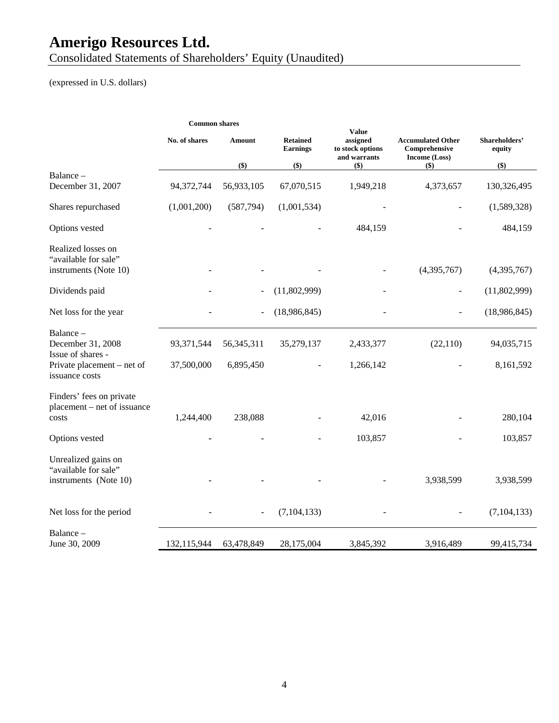Consolidated Statements of Shareholders' Equity (Unaudited)

# (expressed in U.S. dollars)

|                                                                      | <b>Common shares</b> |              |                                    |                                                              |                                                            |                         |
|----------------------------------------------------------------------|----------------------|--------------|------------------------------------|--------------------------------------------------------------|------------------------------------------------------------|-------------------------|
|                                                                      | No. of shares        | Amount       | <b>Retained</b><br><b>Earnings</b> | <b>Value</b><br>assigned<br>to stock options<br>and warrants | <b>Accumulated Other</b><br>Comprehensive<br>Income (Loss) | Shareholders'<br>equity |
|                                                                      |                      | \$)          | \$)                                | \$)                                                          | $($)$                                                      | \$)                     |
| Balance –<br>December 31, 2007                                       | 94,372,744           | 56,933,105   | 67,070,515                         | 1,949,218                                                    | 4,373,657                                                  | 130,326,495             |
| Shares repurchased                                                   | (1,001,200)          | (587,794)    | (1,001,534)                        |                                                              |                                                            | (1,589,328)             |
| Options vested                                                       |                      |              |                                    | 484,159                                                      |                                                            | 484,159                 |
| Realized losses on<br>"available for sale"<br>instruments (Note 10)  |                      |              |                                    |                                                              | (4,395,767)                                                | (4,395,767)             |
| Dividends paid                                                       |                      |              | (11,802,999)                       |                                                              |                                                            | (11,802,999)            |
| Net loss for the year                                                |                      |              | (18,986,845)                       |                                                              |                                                            | (18,986,845)            |
| Balance-<br>December 31, 2008<br>Issue of shares -                   | 93,371,544           | 56, 345, 311 | 35,279,137                         | 2,433,377                                                    | (22, 110)                                                  | 94,035,715              |
| Private placement – net of<br>issuance costs                         | 37,500,000           | 6,895,450    |                                    | 1,266,142                                                    |                                                            | 8,161,592               |
| Finders' fees on private<br>placement – net of issuance<br>costs     | 1,244,400            | 238,088      |                                    | 42,016                                                       |                                                            | 280,104                 |
| Options vested                                                       |                      |              |                                    | 103,857                                                      |                                                            | 103,857                 |
| Unrealized gains on<br>"available for sale"<br>instruments (Note 10) |                      |              |                                    |                                                              | 3,938,599                                                  | 3,938,599               |
|                                                                      |                      |              |                                    |                                                              |                                                            |                         |
| Net loss for the period                                              |                      |              | (7, 104, 133)                      |                                                              |                                                            | (7, 104, 133)           |
| Balance -<br>June 30, 2009                                           | 132,115,944          | 63,478,849   | 28,175,004                         | 3,845,392                                                    | 3,916,489                                                  | 99,415,734              |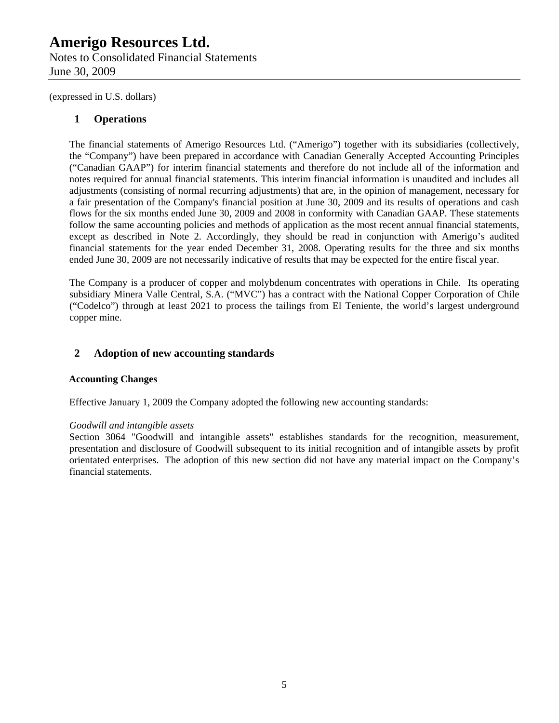Notes to Consolidated Financial Statements June 30, 2009

(expressed in U.S. dollars)

### **1 Operations**

The financial statements of Amerigo Resources Ltd. ("Amerigo") together with its subsidiaries (collectively, the "Company") have been prepared in accordance with Canadian Generally Accepted Accounting Principles ("Canadian GAAP") for interim financial statements and therefore do not include all of the information and notes required for annual financial statements. This interim financial information is unaudited and includes all adjustments (consisting of normal recurring adjustments) that are, in the opinion of management, necessary for a fair presentation of the Company's financial position at June 30, 2009 and its results of operations and cash flows for the six months ended June 30, 2009 and 2008 in conformity with Canadian GAAP. These statements follow the same accounting policies and methods of application as the most recent annual financial statements, except as described in Note 2. Accordingly, they should be read in conjunction with Amerigo's audited financial statements for the year ended December 31, 2008. Operating results for the three and six months ended June 30, 2009 are not necessarily indicative of results that may be expected for the entire fiscal year.

The Company is a producer of copper and molybdenum concentrates with operations in Chile. Its operating subsidiary Minera Valle Central, S.A. ("MVC") has a contract with the National Copper Corporation of Chile ("Codelco") through at least 2021 to process the tailings from El Teniente, the world's largest underground copper mine.

### **2 Adoption of new accounting standards**

### **Accounting Changes**

Effective January 1, 2009 the Company adopted the following new accounting standards:

### *Goodwill and intangible assets*

Section 3064 "Goodwill and intangible assets" establishes standards for the recognition, measurement, presentation and disclosure of Goodwill subsequent to its initial recognition and of intangible assets by profit orientated enterprises. The adoption of this new section did not have any material impact on the Company's financial statements.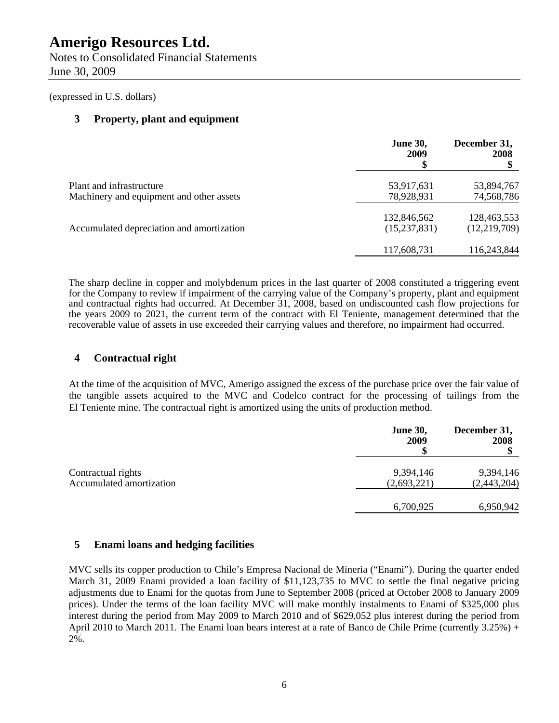Notes to Consolidated Financial Statements June 30, 2009

(expressed in U.S. dollars)

### **3 Property, plant and equipment**

|                                                                      | <b>June 30,</b><br>2009       | December 31,<br>2008          |
|----------------------------------------------------------------------|-------------------------------|-------------------------------|
| Plant and infrastructure<br>Machinery and equipment and other assets | 53,917,631<br>78,928,931      | 53,894,767<br>74,568,786      |
| Accumulated depreciation and amortization                            | 132,846,562<br>(15, 237, 831) | 128,463,553<br>(12, 219, 709) |
|                                                                      | 117,608,731                   | 116,243,844                   |

The sharp decline in copper and molybdenum prices in the last quarter of 2008 constituted a triggering event for the Company to review if impairment of the carrying value of the Company's property, plant and equipment and contractual rights had occurred. At December 31, 2008, based on undiscounted cash flow projections for the years 2009 to 2021, the current term of the contract with El Teniente, management determined that the recoverable value of assets in use exceeded their carrying values and therefore, no impairment had occurred.

### **4 Contractual right**

At the time of the acquisition of MVC, Amerigo assigned the excess of the purchase price over the fair value of the tangible assets acquired to the MVC and Codelco contract for the processing of tailings from the El Teniente mine. The contractual right is amortized using the units of production method.

|                                                | <b>June 30,</b><br>2009  | December 31,<br>2008     |
|------------------------------------------------|--------------------------|--------------------------|
| Contractual rights<br>Accumulated amortization | 9,394,146                | 9,394,146                |
|                                                | (2,693,221)<br>6,700,925 | (2,443,204)<br>6,950,942 |

### **5 Enami loans and hedging facilities**

MVC sells its copper production to Chile's Empresa Nacional de Mineria ("Enami"). During the quarter ended March 31, 2009 Enami provided a loan facility of \$11,123,735 to MVC to settle the final negative pricing adjustments due to Enami for the quotas from June to September 2008 (priced at October 2008 to January 2009 prices). Under the terms of the loan facility MVC will make monthly instalments to Enami of \$325,000 plus interest during the period from May 2009 to March 2010 and of \$629,052 plus interest during the period from April 2010 to March 2011. The Enami loan bears interest at a rate of Banco de Chile Prime (currently 3.25%) + 2%.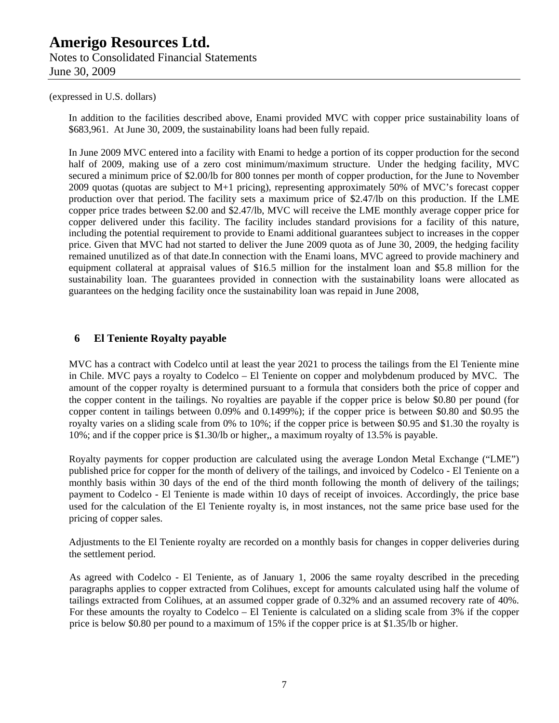Notes to Consolidated Financial Statements June 30, 2009

#### (expressed in U.S. dollars)

In addition to the facilities described above, Enami provided MVC with copper price sustainability loans of \$683,961. At June 30, 2009, the sustainability loans had been fully repaid.

In June 2009 MVC entered into a facility with Enami to hedge a portion of its copper production for the second half of 2009, making use of a zero cost minimum/maximum structure. Under the hedging facility, MVC secured a minimum price of \$2.00/lb for 800 tonnes per month of copper production, for the June to November 2009 quotas (quotas are subject to M+1 pricing), representing approximately 50% of MVC's forecast copper production over that period. The facility sets a maximum price of \$2.47/lb on this production. If the LME copper price trades between \$2.00 and \$2.47/lb, MVC will receive the LME monthly average copper price for copper delivered under this facility. The facility includes standard provisions for a facility of this nature, including the potential requirement to provide to Enami additional guarantees subject to increases in the copper price. Given that MVC had not started to deliver the June 2009 quota as of June 30, 2009, the hedging facility remained unutilized as of that date.In connection with the Enami loans, MVC agreed to provide machinery and equipment collateral at appraisal values of \$16.5 million for the instalment loan and \$5.8 million for the sustainability loan. The guarantees provided in connection with the sustainability loans were allocated as guarantees on the hedging facility once the sustainability loan was repaid in June 2008,

### **6 El Teniente Royalty payable**

MVC has a contract with Codelco until at least the year 2021 to process the tailings from the El Teniente mine in Chile. MVC pays a royalty to Codelco – El Teniente on copper and molybdenum produced by MVC. The amount of the copper royalty is determined pursuant to a formula that considers both the price of copper and the copper content in the tailings. No royalties are payable if the copper price is below \$0.80 per pound (for copper content in tailings between 0.09% and 0.1499%); if the copper price is between \$0.80 and \$0.95 the royalty varies on a sliding scale from 0% to 10%; if the copper price is between \$0.95 and \$1.30 the royalty is 10%; and if the copper price is \$1.30/lb or higher,, a maximum royalty of 13.5% is payable.

Royalty payments for copper production are calculated using the average London Metal Exchange ("LME") published price for copper for the month of delivery of the tailings, and invoiced by Codelco - El Teniente on a monthly basis within 30 days of the end of the third month following the month of delivery of the tailings; payment to Codelco - El Teniente is made within 10 days of receipt of invoices. Accordingly, the price base used for the calculation of the El Teniente royalty is, in most instances, not the same price base used for the pricing of copper sales.

Adjustments to the El Teniente royalty are recorded on a monthly basis for changes in copper deliveries during the settlement period.

As agreed with Codelco - El Teniente, as of January 1, 2006 the same royalty described in the preceding paragraphs applies to copper extracted from Colihues, except for amounts calculated using half the volume of tailings extracted from Colihues, at an assumed copper grade of 0.32% and an assumed recovery rate of 40%. For these amounts the royalty to Codelco – El Teniente is calculated on a sliding scale from 3% if the copper price is below \$0.80 per pound to a maximum of 15% if the copper price is at \$1.35/lb or higher.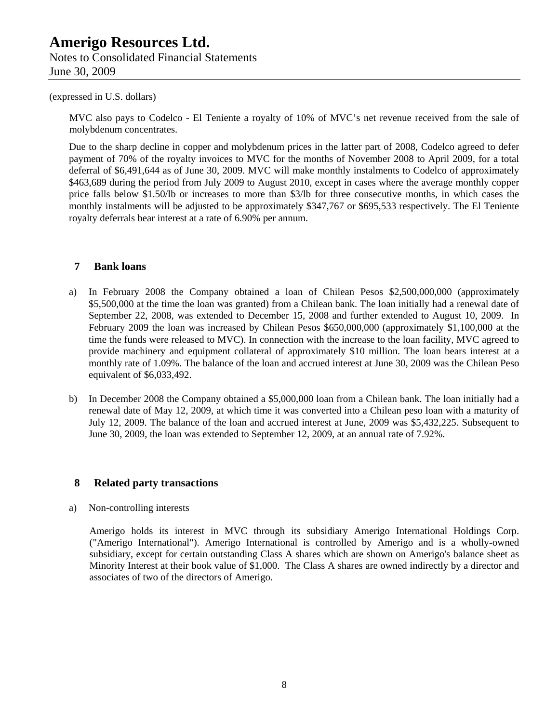Notes to Consolidated Financial Statements June 30, 2009

#### (expressed in U.S. dollars)

MVC also pays to Codelco - El Teniente a royalty of 10% of MVC's net revenue received from the sale of molybdenum concentrates.

Due to the sharp decline in copper and molybdenum prices in the latter part of 2008, Codelco agreed to defer payment of 70% of the royalty invoices to MVC for the months of November 2008 to April 2009, for a total deferral of \$6,491,644 as of June 30, 2009. MVC will make monthly instalments to Codelco of approximately \$463,689 during the period from July 2009 to August 2010, except in cases where the average monthly copper price falls below \$1.50/lb or increases to more than \$3/lb for three consecutive months, in which cases the monthly instalments will be adjusted to be approximately \$347,767 or \$695,533 respectively. The El Teniente royalty deferrals bear interest at a rate of 6.90% per annum.

### **7 Bank loans**

- a) In February 2008 the Company obtained a loan of Chilean Pesos \$2,500,000,000 (approximately \$5,500,000 at the time the loan was granted) from a Chilean bank. The loan initially had a renewal date of September 22, 2008, was extended to December 15, 2008 and further extended to August 10, 2009. In February 2009 the loan was increased by Chilean Pesos \$650,000,000 (approximately \$1,100,000 at the time the funds were released to MVC). In connection with the increase to the loan facility, MVC agreed to provide machinery and equipment collateral of approximately \$10 million. The loan bears interest at a monthly rate of 1.09%. The balance of the loan and accrued interest at June 30, 2009 was the Chilean Peso equivalent of \$6,033,492.
- b) In December 2008 the Company obtained a \$5,000,000 loan from a Chilean bank. The loan initially had a renewal date of May 12, 2009, at which time it was converted into a Chilean peso loan with a maturity of July 12, 2009. The balance of the loan and accrued interest at June, 2009 was \$5,432,225. Subsequent to June 30, 2009, the loan was extended to September 12, 2009, at an annual rate of 7.92%.

### **8 Related party transactions**

### a) Non-controlling interests

Amerigo holds its interest in MVC through its subsidiary Amerigo International Holdings Corp. ("Amerigo International"). Amerigo International is controlled by Amerigo and is a wholly-owned subsidiary, except for certain outstanding Class A shares which are shown on Amerigo's balance sheet as Minority Interest at their book value of \$1,000. The Class A shares are owned indirectly by a director and associates of two of the directors of Amerigo.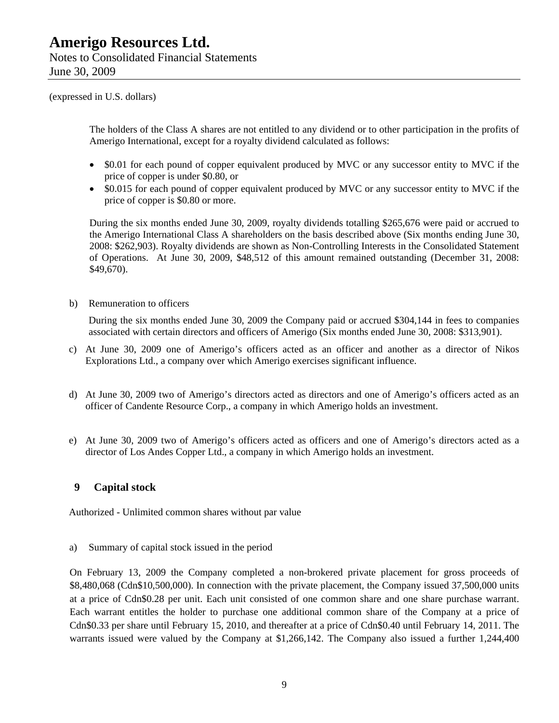Notes to Consolidated Financial Statements June 30, 2009

(expressed in U.S. dollars)

The holders of the Class A shares are not entitled to any dividend or to other participation in the profits of Amerigo International, except for a royalty dividend calculated as follows:

- \$0.01 for each pound of copper equivalent produced by MVC or any successor entity to MVC if the price of copper is under \$0.80, or
- \$0.015 for each pound of copper equivalent produced by MVC or any successor entity to MVC if the price of copper is \$0.80 or more.

During the six months ended June 30, 2009, royalty dividends totalling \$265,676 were paid or accrued to the Amerigo International Class A shareholders on the basis described above (Six months ending June 30, 2008: \$262,903). Royalty dividends are shown as Non-Controlling Interests in the Consolidated Statement of Operations. At June 30, 2009, \$48,512 of this amount remained outstanding (December 31, 2008: \$49,670).

b) Remuneration to officers

During the six months ended June 30, 2009 the Company paid or accrued \$304,144 in fees to companies associated with certain directors and officers of Amerigo (Six months ended June 30, 2008: \$313,901).

- c) At June 30, 2009 one of Amerigo's officers acted as an officer and another as a director of Nikos Explorations Ltd., a company over which Amerigo exercises significant influence.
- d) At June 30, 2009 two of Amerigo's directors acted as directors and one of Amerigo's officers acted as an officer of Candente Resource Corp., a company in which Amerigo holds an investment.
- e) At June 30, 2009 two of Amerigo's officers acted as officers and one of Amerigo's directors acted as a director of Los Andes Copper Ltd., a company in which Amerigo holds an investment.

### **9 Capital stock**

Authorized - Unlimited common shares without par value

a) Summary of capital stock issued in the period

On February 13, 2009 the Company completed a non-brokered private placement for gross proceeds of \$8,480,068 (Cdn\$10,500,000). In connection with the private placement, the Company issued 37,500,000 units at a price of Cdn\$0.28 per unit. Each unit consisted of one common share and one share purchase warrant. Each warrant entitles the holder to purchase one additional common share of the Company at a price of Cdn\$0.33 per share until February 15, 2010, and thereafter at a price of Cdn\$0.40 until February 14, 2011. The warrants issued were valued by the Company at \$1,266,142. The Company also issued a further 1,244,400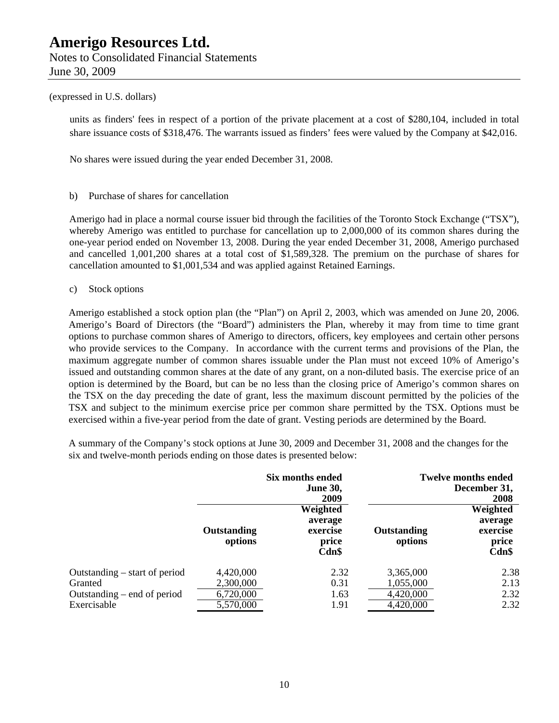Notes to Consolidated Financial Statements June 30, 2009

### (expressed in U.S. dollars)

units as finders' fees in respect of a portion of the private placement at a cost of \$280,104, included in total share issuance costs of \$318,476. The warrants issued as finders' fees were valued by the Company at \$42,016.

No shares were issued during the year ended December 31, 2008.

b) Purchase of shares for cancellation

Amerigo had in place a normal course issuer bid through the facilities of the Toronto Stock Exchange ("TSX"), whereby Amerigo was entitled to purchase for cancellation up to 2,000,000 of its common shares during the one-year period ended on November 13, 2008. During the year ended December 31, 2008, Amerigo purchased and cancelled 1,001,200 shares at a total cost of \$1,589,328. The premium on the purchase of shares for cancellation amounted to \$1,001,534 and was applied against Retained Earnings.

c) Stock options

Amerigo established a stock option plan (the "Plan") on April 2, 2003, which was amended on June 20, 2006. Amerigo's Board of Directors (the "Board") administers the Plan, whereby it may from time to time grant options to purchase common shares of Amerigo to directors, officers, key employees and certain other persons who provide services to the Company. In accordance with the current terms and provisions of the Plan, the maximum aggregate number of common shares issuable under the Plan must not exceed 10% of Amerigo's issued and outstanding common shares at the date of any grant, on a non-diluted basis. The exercise price of an option is determined by the Board, but can be no less than the closing price of Amerigo's common shares on the TSX on the day preceding the date of grant, less the maximum discount permitted by the policies of the TSX and subject to the minimum exercise price per common share permitted by the TSX. Options must be exercised within a five-year period from the date of grant. Vesting periods are determined by the Board.

A summary of the Company's stock options at June 30, 2009 and December 31, 2008 and the changes for the six and twelve-month periods ending on those dates is presented below:

|                                 |                        | Six months ended<br><b>June 30,</b><br>2009       |                        | <b>Twelve months ended</b><br>December 31,<br><b>2008</b> |
|---------------------------------|------------------------|---------------------------------------------------|------------------------|-----------------------------------------------------------|
|                                 | Outstanding<br>options | Weighted<br>average<br>exercise<br>price<br>Cdn\$ | Outstanding<br>options | Weighted<br>average<br>exercise<br>price<br>Cdn\$         |
| Outstanding $-$ start of period | 4,420,000              | 2.32                                              | 3,365,000              | 2.38                                                      |
| Granted                         | 2,300,000              | 0.31                                              | 1,055,000              | 2.13                                                      |
| Outstanding $-$ end of period   | 6,720,000              | 1.63                                              | 4,420,000              | 2.32                                                      |
| Exercisable                     | 5,570,000              | 1.91                                              | 4,420,000              | 2.32                                                      |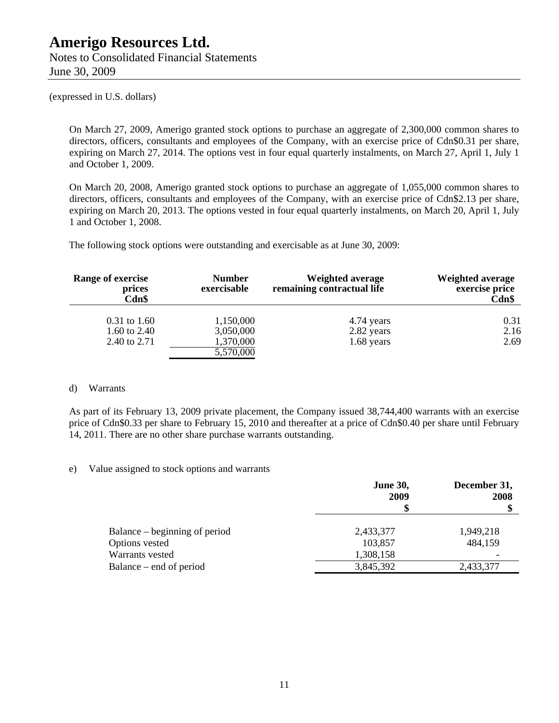Notes to Consolidated Financial Statements June 30, 2009

(expressed in U.S. dollars)

On March 27, 2009, Amerigo granted stock options to purchase an aggregate of 2,300,000 common shares to directors, officers, consultants and employees of the Company, with an exercise price of Cdn\$0.31 per share, expiring on March 27, 2014. The options vest in four equal quarterly instalments, on March 27, April 1, July 1 and October 1, 2009.

On March 20, 2008, Amerigo granted stock options to purchase an aggregate of 1,055,000 common shares to directors, officers, consultants and employees of the Company, with an exercise price of Cdn\$2.13 per share, expiring on March 20, 2013. The options vested in four equal quarterly instalments, on March 20, April 1, July 1 and October 1, 2008.

The following stock options were outstanding and exercisable as at June 30, 2009:

| Range of exercise<br>prices<br>Cdn\$ | <b>Number</b><br>exercisable | Weighted average<br>remaining contractual life | <b>Weighted average</b><br>exercise price<br>$\mathbf{Cdn}\$ |
|--------------------------------------|------------------------------|------------------------------------------------|--------------------------------------------------------------|
| $0.31$ to 1.60                       | 1,150,000                    | 4.74 years                                     | 0.31                                                         |
| 1.60 to $2.40$                       | 3,050,000                    | 2.82 years                                     | 2.16                                                         |
| 2.40 to 2.71                         | 1,370,000                    | $1.68$ years                                   | 2.69                                                         |
|                                      | 5,570,000                    |                                                |                                                              |

#### d) Warrants

As part of its February 13, 2009 private placement, the Company issued 38,744,400 warrants with an exercise price of Cdn\$0.33 per share to February 15, 2010 and thereafter at a price of Cdn\$0.40 per share until February 14, 2011. There are no other share purchase warrants outstanding.

### e) Value assigned to stock options and warrants

|                               | <b>June 30,</b><br>2009 | December 31,<br>2008<br>۰D |
|-------------------------------|-------------------------|----------------------------|
| Balance – beginning of period | 2,433,377               | 1,949,218                  |
| Options vested                | 103,857                 | 484,159                    |
| Warrants vested               | 1,308,158               |                            |
| Balance – end of period       | 3,845,392               | 2,433,377                  |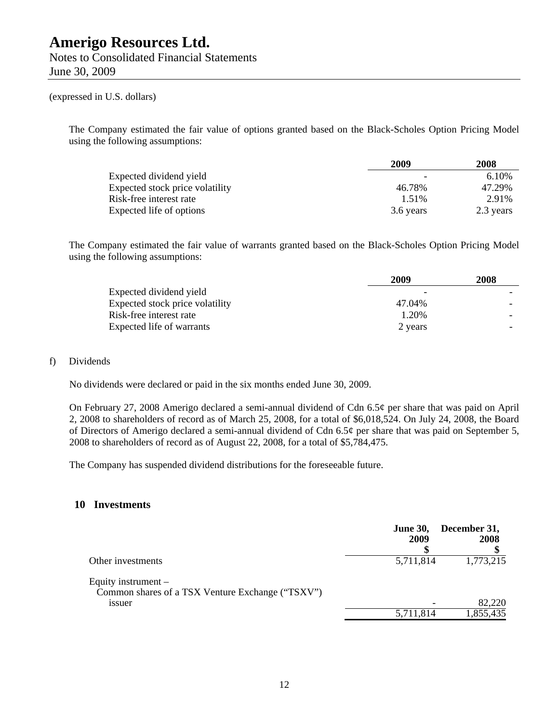Notes to Consolidated Financial Statements June 30, 2009

#### (expressed in U.S. dollars)

The Company estimated the fair value of options granted based on the Black-Scholes Option Pricing Model using the following assumptions:

|                                 | 2009      | 2008      |
|---------------------------------|-----------|-----------|
| Expected dividend yield         |           | 6.10%     |
| Expected stock price volatility | 46.78%    | 47.29%    |
| Risk-free interest rate         | 1.51%     | 2.91%     |
| Expected life of options        | 3.6 years | 2.3 years |

The Company estimated the fair value of warrants granted based on the Black-Scholes Option Pricing Model using the following assumptions:

|                                 | 2009    | 2008 |
|---------------------------------|---------|------|
| Expected dividend yield         |         |      |
| Expected stock price volatility | 47.04%  |      |
| Risk-free interest rate         | 1.20%   |      |
| Expected life of warrants       | 2 years |      |

#### f) Dividends

No dividends were declared or paid in the six months ended June 30, 2009.

On February 27, 2008 Amerigo declared a semi-annual dividend of Cdn 6.5¢ per share that was paid on April 2, 2008 to shareholders of record as of March 25, 2008, for a total of \$6,018,524. On July 24, 2008, the Board of Directors of Amerigo declared a semi-annual dividend of Cdn 6.5¢ per share that was paid on September 5, 2008 to shareholders of record as of August 22, 2008, for a total of \$5,784,475.

The Company has suspended dividend distributions for the foreseeable future.

### **10 Investments**

|                                                                                     | <b>June 30,</b><br>2009 | December 31,<br>2008 |
|-------------------------------------------------------------------------------------|-------------------------|----------------------|
| Other investments                                                                   | 5,711,814               | 1,773,215            |
| Equity instrument $-$<br>Common shares of a TSX Venture Exchange ("TSXV")<br>1ssuer |                         | 82,220               |
|                                                                                     | 5,711,814               | 1,855,435            |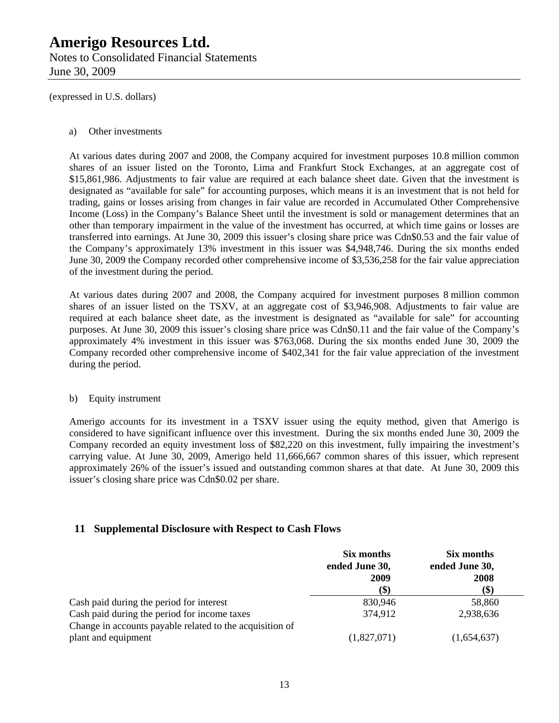Notes to Consolidated Financial Statements June 30, 2009

(expressed in U.S. dollars)

#### a) Other investments

At various dates during 2007 and 2008, the Company acquired for investment purposes 10.8 million common shares of an issuer listed on the Toronto, Lima and Frankfurt Stock Exchanges, at an aggregate cost of \$15,861,986. Adjustments to fair value are required at each balance sheet date. Given that the investment is designated as "available for sale" for accounting purposes, which means it is an investment that is not held for trading, gains or losses arising from changes in fair value are recorded in Accumulated Other Comprehensive Income (Loss) in the Company's Balance Sheet until the investment is sold or management determines that an other than temporary impairment in the value of the investment has occurred, at which time gains or losses are transferred into earnings. At June 30, 2009 this issuer's closing share price was Cdn\$0.53 and the fair value of the Company's approximately 13% investment in this issuer was \$4,948,746. During the six months ended June 30, 2009 the Company recorded other comprehensive income of \$3,536,258 for the fair value appreciation of the investment during the period.

At various dates during 2007 and 2008, the Company acquired for investment purposes 8 million common shares of an issuer listed on the TSXV, at an aggregate cost of \$3,946,908. Adjustments to fair value are required at each balance sheet date, as the investment is designated as "available for sale" for accounting purposes. At June 30, 2009 this issuer's closing share price was Cdn\$0.11 and the fair value of the Company's approximately 4% investment in this issuer was \$763,068. During the six months ended June 30, 2009 the Company recorded other comprehensive income of \$402,341 for the fair value appreciation of the investment during the period.

### b) Equity instrument

Amerigo accounts for its investment in a TSXV issuer using the equity method, given that Amerigo is considered to have significant influence over this investment. During the six months ended June 30, 2009 the Company recorded an equity investment loss of \$82,220 on this investment, fully impairing the investment's carrying value. At June 30, 2009, Amerigo held 11,666,667 common shares of this issuer, which represent approximately 26% of the issuer's issued and outstanding common shares at that date. At June 30, 2009 this issuer's closing share price was Cdn\$0.02 per share.

### **11 Supplemental Disclosure with Respect to Cash Flows**

|                                                          | Six months<br>ended June 30,<br>2009 | Six months<br>ended June 30,<br>2008 |
|----------------------------------------------------------|--------------------------------------|--------------------------------------|
|                                                          | (\$)                                 | (\$)                                 |
| Cash paid during the period for interest                 | 830,946                              | 58,860                               |
| Cash paid during the period for income taxes             | 374,912                              | 2,938,636                            |
| Change in accounts payable related to the acquisition of |                                      |                                      |
| plant and equipment                                      | (1,827,071)                          | (1,654,637)                          |